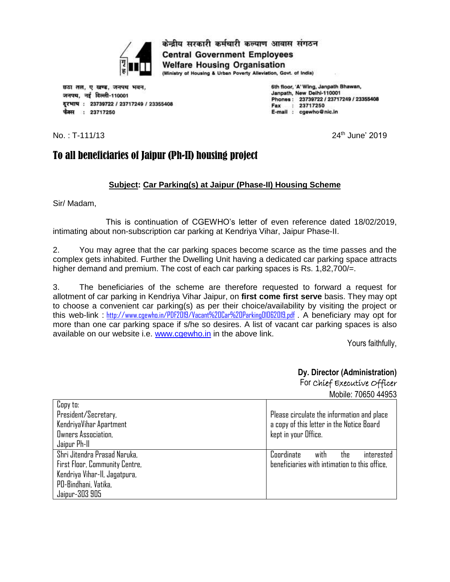

छठा तल, ए खण्ड, जनपथ भवन, जनपथ. नई दिल्ली-110001 दूरभाष: 23739722 / 23717249 / 23355408 फैक्स : 23717250

6th floor, 'A' Wing, Janpath Bhawan, Janpath, New Deihl-110001 Phones: 23739722 / 23717249 / 23355408 Fax : 23717250 E-mail : cgewho@nic.in

 $No.: T-111/13$ 

 $24<sup>th</sup>$  June' 2019

# To all beneficiaries of Jaipur (Ph-II) housing project

## **Subject: Car Parking(s) at Jaipur (Phase-II) Housing Scheme**

Sir/ Madam,

This is continuation of CGEWHO's letter of even reference dated 18/02/2019, intimating about non-subscription car parking at Kendriya Vihar, Jaipur Phase-II.

2. You may agree that the car parking spaces become scarce as the time passes and the complex gets inhabited. Further the Dwelling Unit having a dedicated car parking space attracts higher demand and premium. The cost of each car parking spaces is Rs. 1,82,700/=.

3. The beneficiaries of the scheme are therefore requested to forward a request for allotment of car parking in Kendriya Vihar Jaipur, on **first come first serve** basis. They may opt to choose a convenient car parking(s) as per their choice/availability by visiting the project or this web-link : <http://www.cgewho.in/PDF2019/Vacant%20Car%20Parking01062019.pdf> . A beneficiary may opt for more than one car parking space if s/he so desires. A list of vacant car parking spaces is also available on our website i.e. [www.cgewho.in](http://www.cgewho.in/) in the above link.

Yours faithfully,

# **Dy. Director (Administration)** For Chief Executive Officer

Mobile: 70650 44953

| Copy to:<br>President/Secretary,<br>KendriyaVihar Apartment<br>Owners Association,<br>Jaipur Ph-II | Please circulate the information and place<br>a copy of this letter in the Notice Board<br>kept in your Office. |
|----------------------------------------------------------------------------------------------------|-----------------------------------------------------------------------------------------------------------------|
| Shri Jitendra Prasad Naruka,<br>First Floor, Community Centre,                                     | Coordinate<br>with<br>interested<br>the<br>beneficiaries with intimation to this office,                        |
| Kendriya Vihar-II, Jagatpura,                                                                      |                                                                                                                 |
| PD-Bindhani, Vatika,                                                                               |                                                                                                                 |
| Jaipur-303 905                                                                                     |                                                                                                                 |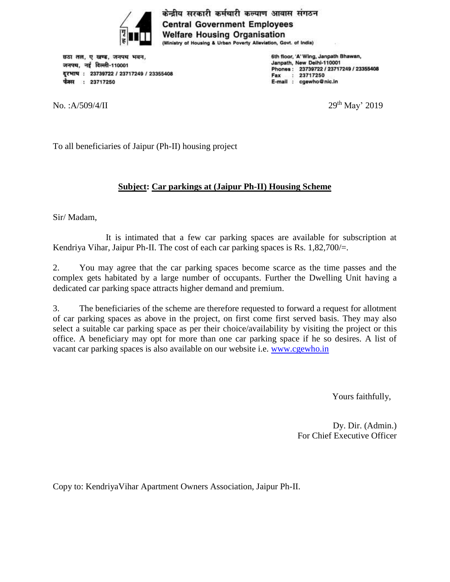

छठा तल, ए खण्ड, जनपथ भवन, जनपथ, नई दिल्ली-110001 वूरभाष: 23739722 / 23717249 / 23355408 फैक्स: 23717250

No.: A/509/4/II

6th floor, 'A' Wing, Janpath Bhawan, Janpath, New Deihl-110001 Phones: 23739722 / 23717249 / 23355408 Fax : 23717250 E-mail : cgewho@nic.in

 $29<sup>th</sup>$  May' 2019

To all beneficiaries of Jaipur (Ph-II) housing project

# **Subject: Car parkings at (Jaipur Ph-II) Housing Scheme**

Sir/ Madam,

It is intimated that a few car parking spaces are available for subscription at Kendriya Vihar, Jaipur Ph-II. The cost of each car parking spaces is Rs.  $1,82,700/=$ .

2. You may agree that the car parking spaces become scarce as the time passes and the complex gets habitated by a large number of occupants. Further the Dwelling Unit having a dedicated car parking space attracts higher demand and premium.

3. The beneficiaries of the scheme are therefore requested to forward a request for allotment of car parking spaces as above in the project, on first come first served basis. They may also select a suitable car parking space as per their choice/availability by visiting the project or this office. A beneficiary may opt for more than one car parking space if he so desires. A list of vacant car parking spaces is also available on our website i.e. [www.cgewho.in](http://www.cgewho.in/)

Yours faithfully,

Dy. Dir. (Admin.) For Chief Executive Officer

Copy to: KendriyaVihar Apartment Owners Association, Jaipur Ph-II.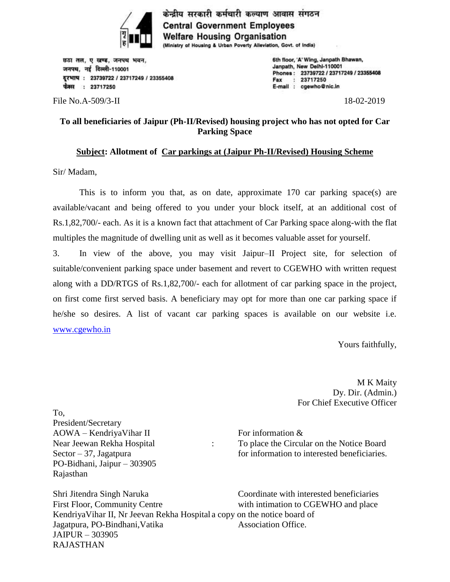

छठा तल, ए खण्ड, जनपथ भवन, जनपथ, नई दिल्ली-110001 दरभाष: 23739722 / 23717249 / 23355408 फैक्स : 23717250

File No.A-509/3-II 18-02-2019

6th floor, 'A' Wing, Janpath Bhawan, Janpath, New Deihl-110001 Phones: 23739722 / 23717249 / 23355408 Fax : 23717250 E-mail : cgewho@nic.in

## **To all beneficiaries of Jaipur (Ph-II/Revised) housing project who has not opted for Car Parking Space**

### **Subject: Allotment of Car parkings at (Jaipur Ph-II/Revised) Housing Scheme**

Sir/ Madam,

 This is to inform you that, as on date, approximate 170 car parking space(s) are available/vacant and being offered to you under your block itself, at an additional cost of Rs.1,82,700/- each. As it is a known fact that attachment of Car Parking space along-with the flat multiples the magnitude of dwelling unit as well as it becomes valuable asset for yourself.

3. In view of the above, you may visit Jaipur–II Project site, for selection of suitable/convenient parking space under basement and revert to CGEWHO with written request along with a DD/RTGS of Rs.1,82,700/- each for allotment of car parking space in the project, on first come first served basis. A beneficiary may opt for more than one car parking space if he/she so desires. A list of vacant car parking spaces is available on our website i.e. [www.cgewho.in](http://www.cgewho.in/)

Yours faithfully,

M K Maity Dy. Dir. (Admin.) For Chief Executive Officer

To, President/Secretary  $AOWA - KendrivaVihar II$  For information & PO-Bidhani, Jaipur – 303905 Rajasthan

Near Jeewan Rekha Hospital : To place the Circular on the Notice Board Sector  $-37$ , Jagatpura for information to interested beneficiaries.

Shri Jitendra Singh Naruka Coordinate with interested beneficiaries First Floor, Community Centre with intimation to CGEWHO and place KendriyaVihar II, Nr Jeevan Rekha Hospital a copy on the notice board of Jagatpura, PO-Bindhani, Vatika Association Office. JAIPUR – 303905 RAJASTHAN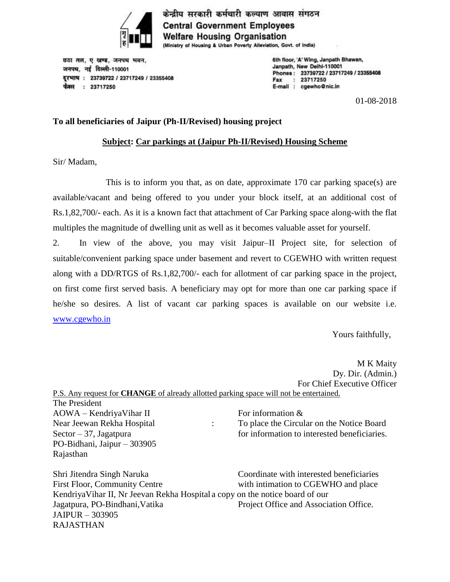

छठा तल, ए खण्ड, जनपथ भवन, जनपथ, नई दिल्ली-110001 दरभाष: 23739722 / 23717249 / 23355408 फैक्स : 23717250

6th floor, 'A' Wing, Janpath Bhawan, Janpath, New Deihl-110001 Phones: 23739722 / 23717249 / 23355408 Fax : 23717250 E-mail : cgewho@nic.in

01-08-2018

#### **To all beneficiaries of Jaipur (Ph-II/Revised) housing project**

#### **Subject: Car parkings at (Jaipur Ph-II/Revised) Housing Scheme**

Sir/ Madam,

This is to inform you that, as on date, approximate 170 car parking space(s) are available/vacant and being offered to you under your block itself, at an additional cost of Rs.1,82,700/- each. As it is a known fact that attachment of Car Parking space along-with the flat multiples the magnitude of dwelling unit as well as it becomes valuable asset for yourself.

2. In view of the above, you may visit Jaipur–II Project site, for selection of suitable/convenient parking space under basement and revert to CGEWHO with written request along with a DD/RTGS of Rs.1,82,700/- each for allotment of car parking space in the project, on first come first served basis. A beneficiary may opt for more than one car parking space if he/she so desires. A list of vacant car parking spaces is available on our website i.e. [www.cgewho.in](http://www.cgewho.in/)

Yours faithfully,

M K Maity Dy. Dir. (Admin.) For Chief Executive Officer P.S. Any request for **CHANGE** of already allotted parking space will not be entertained. The President  $AOWA - KendrivaVihar II$  For information & Near Jeewan Rekha Hospital : To place the Circular on the Notice Board Sector  $-37$ , Jagatpura for information to interested beneficiaries. PO-Bidhani, Jaipur – 303905 Rajasthan Shri Jitendra Singh Naruka Coordinate with interested beneficiaries First Floor, Community Centre with intimation to CGEWHO and place

KendriyaVihar II, Nr Jeevan Rekha Hospital a copy on the notice board of our Jagatpura, PO-Bindhani, Vatika Project Office and Association Office. JAIPUR – 303905 RAJASTHAN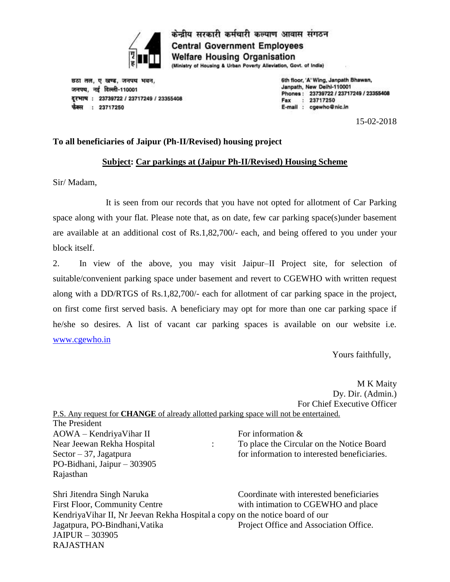

छठा तल, ए खण्ड, जनपथ भवन, जनपथ, नई दिल्ली-110001 दरभाष: 23739722 / 23717249 / 23355408 फैक्स : 23717250

6th floor, 'A' Wing, Janpath Bhawan, Janpath, New Deihl-110001 Phones: 23739722 / 23717249 / 23355408  $: 23717250$ Fax E-mail : cgewho@nic.in

15-02-2018

### **To all beneficiaries of Jaipur (Ph-II/Revised) housing project**

#### **Subject: Car parkings at (Jaipur Ph-II/Revised) Housing Scheme**

Sir/ Madam,

It is seen from our records that you have not opted for allotment of Car Parking space along with your flat. Please note that, as on date, few car parking space(s)under basement are available at an additional cost of Rs.1,82,700/- each, and being offered to you under your block itself.

2. In view of the above, you may visit Jaipur–II Project site, for selection of suitable/convenient parking space under basement and revert to CGEWHO with written request along with a DD/RTGS of Rs.1,82,700/- each for allotment of car parking space in the project, on first come first served basis. A beneficiary may opt for more than one car parking space if he/she so desires. A list of vacant car parking spaces is available on our website i.e. [www.cgewho.in](http://www.cgewho.in/)

Yours faithfully,

M K Maity Dy. Dir. (Admin.) For Chief Executive Officer P.S. Any request for **CHANGE** of already allotted parking space will not be entertained.

The President  $AOWA - KendriyaVihar II$  For information & PO-Bidhani, Jaipur – 303905 Rajasthan

Near Jeewan Rekha Hospital : To place the Circular on the Notice Board Sector  $-37$ , Jagatpura for information to interested beneficiaries.

Shri Jitendra Singh Naruka Coordinate with interested beneficiaries First Floor, Community Centre with intimation to CGEWHO and place KendriyaVihar II, Nr Jeevan Rekha Hospital a copy on the notice board of our Jagatpura, PO-Bindhani, Vatika Project Office and Association Office. JAIPUR – 303905 RAJASTHAN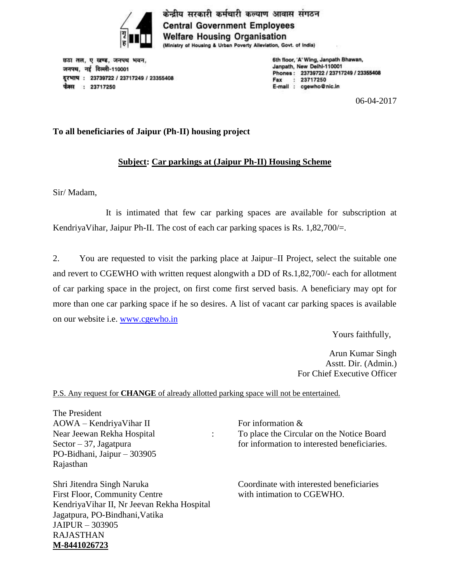

छठा तल, ए खण्ड, जनपथ भवन, जनपथ, नई दिल्ली-110001 दरभाष: 23739722 / 23717249 / 23355408 फैक्स : 23717250

6th floor, 'A' Wing, Janpath Bhawan, Janpath, New Deihl-110001 Phones: 23739722 / 23717249 / 23355408 Fax : 23717250 E-mail : cgewho@nic.in

06-04-2017

### **To all beneficiaries of Jaipur (Ph-II) housing project**

# **Subject: Car parkings at (Jaipur Ph-II) Housing Scheme**

Sir/ Madam,

It is intimated that few car parking spaces are available for subscription at KendriyaVihar, Jaipur Ph-II. The cost of each car parking spaces is Rs. 1,82,700/=.

2. You are requested to visit the parking place at Jaipur–II Project, select the suitable one and revert to CGEWHO with written request alongwith a DD of Rs.1,82,700/- each for allotment of car parking space in the project, on first come first served basis. A beneficiary may opt for more than one car parking space if he so desires. A list of vacant car parking spaces is available on our website i.e. [www.cgewho.in](http://www.cgewho.in/)

Yours faithfully,

Arun Kumar Singh Asstt. Dir. (Admin.) For Chief Executive Officer

P.S. Any request for **CHANGE** of already allotted parking space will not be entertained.

The President  $AOWA - KendriyaVihar II$  For information & PO-Bidhani, Jaipur – 303905 Rajasthan

Shri Jitendra Singh Naruka Coordinate with interested beneficiaries First Floor, Community Centre with intimation to CGEWHO. KendriyaVihar II, Nr Jeevan Rekha Hospital Jagatpura, PO-Bindhani,Vatika JAIPUR – 303905 RAJASTHAN **M-8441026723**

Near Jeewan Rekha Hospital : To place the Circular on the Notice Board Sector  $-37$ , Jagatpura for information to interested beneficiaries.